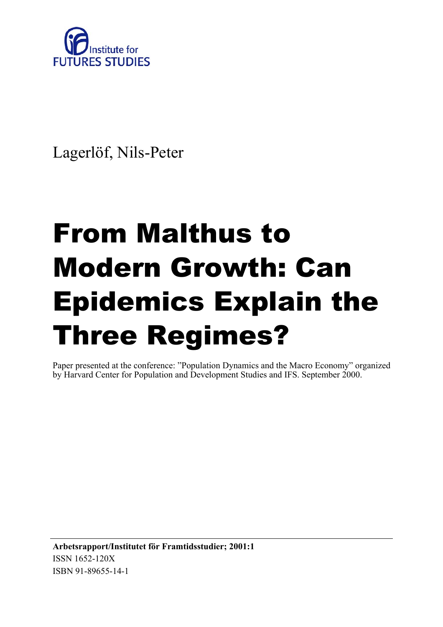

Lagerlöf, Nils-Peter

# From Malthus to Modern Growth: Can Epidemics Explain the Three Regimes?

Paper presented at the conference: "Population Dynamics and the Macro Economy" organized by Harvard Center for Population and Development Studies and IFS. September 2000.

**Arbetsrapport/Institutet för Framtidsstudier; 2001:1** ISSN 1652-120X ISBN 91-89655-14-1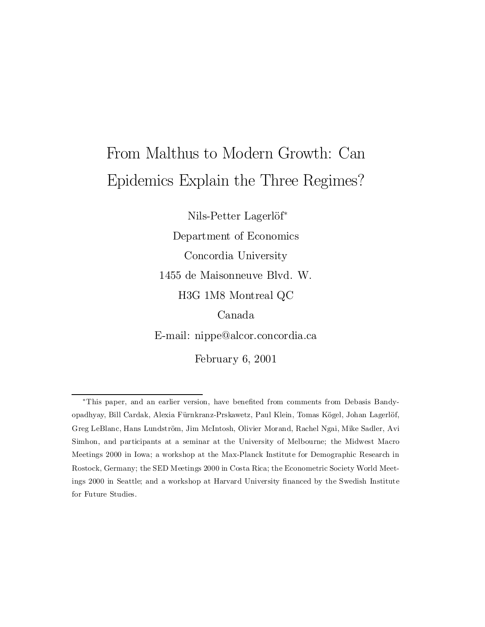# From Malthus to Modern Growth: Can Epidemics Explain the Three Regimes?

Nils-Petter Lagerlöf\* Department of Economics Concordia University 1455 de Maisonneuve Blvd. W. H3G 1M8 Montreal QC Canada E-mail: nippe@alcor.concordia.ca February 6, 2001

<sup>¤</sup>This paper, and an earlier version, have bene¯ted from comments from Debasis Bandyopadhyay, Bill Cardak, Alexia Fürnkranz-Prskawetz, Paul Klein, Tomas Kögel, Johan Lagerlöf, Greg LeBlanc, Hans Lundström, Jim McIntosh, Olivier Morand, Rachel Ngai, Mike Sadler, Avi Simhon, and participants at a seminar at the University of Melbourne; the Midwest Macro Meetings 2000 in Iowa; a workshop at the Max-Planck Institute for Demographic Research in Rostock, Germany; the SED Meetings 2000 in Costa Rica; the Econometric Society World Meetings 2000 in Seattle; and a workshop at Harvard University financed by the Swedish Institute for Future Studies.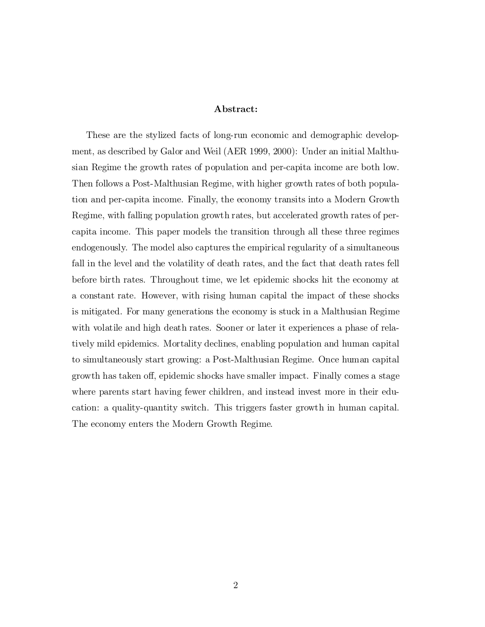### Abstract:

These are the stylized facts of long-run economic and demographic development, as described by Galor and Weil (AER 1999, 2000): Under an initial Malthusian Regime the growth rates of population and per-capita income are both low. Then follows a Post-Malthusian Regime, with higher growth rates of both population and per-capita income. Finally, the economy transits into a Modern Growth Regime, with falling population growth rates, but accelerated growth rates of percapita income. This paper models the transition through all these three regimes endogenously. The model also captures the empirical regularity of a simultaneous fall in the level and the volatility of death rates, and the fact that death rates fell before birth rates. Throughout time, we let epidemic shocks hit the economy at a constant rate. However, with rising human capital the impact of these shocks is mitigated. For many generations the economy is stuck in a Malthusian Regime with volatile and high death rates. Sooner or later it experiences a phase of relatively mild epidemics. Mortality declines, enabling population and human capital to simultaneously start growing: a Post-Malthusian Regime. Once human capital growth has taken off, epidemic shocks have smaller impact. Finally comes a stage where parents start having fewer children, and instead invest more in their education: a quality-quantity switch. This triggers faster growth in human capital. The economy enters the Modern Growth Regime.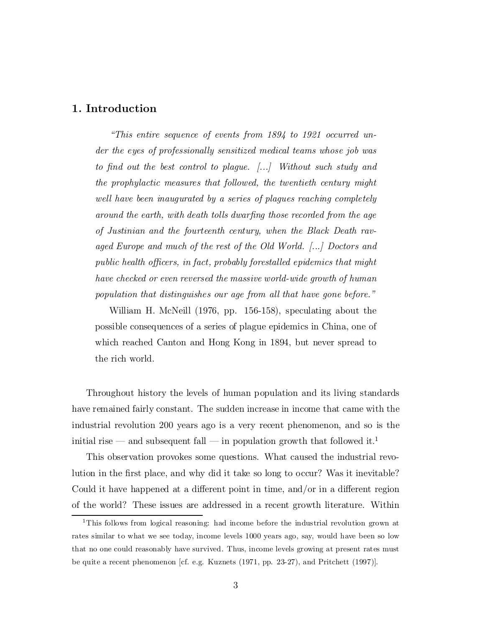# 1. Introduction

"This entire sequence of events from  $1894$  to  $1921$  occurred under the eyes of professionally sensitized medical teams whose job was to find out the best control to plague.  $[\ldots]$  Without such study and the prophylactic measures that followed, the twentieth century might well have been inaugurated by a series of plagues reaching completely around the earth, with death tolls dwarfing those recorded from the age of Justinian and the fourteenth century, when the Black Death ravaged Europe and much of the rest of the Old World. [...] Doctors and public health officers, in fact, probably forestalled epidemics that might have checked or even reversed the massive world-wide growth of human population that distinguishes our age from all that have gone before."

William H. McNeill (1976, pp. 156-158), speculating about the possible consequences of a series of plague epidemics in China, one of which reached Canton and Hong Kong in 1894, but never spread to the rich world.

Throughout history the levels of human population and its living standards have remained fairly constant. The sudden increase in income that came with the industrial revolution 200 years ago is a very recent phenomenon, and so is the initial rise — and subsequent fall — in population growth that followed it.<sup>1</sup>

This observation provokes some questions. What caused the industrial revolution in the first place, and why did it take so long to occur? Was it inevitable? Could it have happened at a different point in time, and/or in a different region of the world? These issues are addressed in a recent growth literature. Within

<sup>1</sup>This follows from logical reasoning: had income before the industrial revolution grown at rates similar to what we see today, income levels 1000 years ago, say, would have been so low that no one could reasonably have survived. Thus, income levels growing at present rates must be quite a recent phenomenon [cf. e.g. Kuznets (1971, pp. 23-27), and Pritchett (1997)].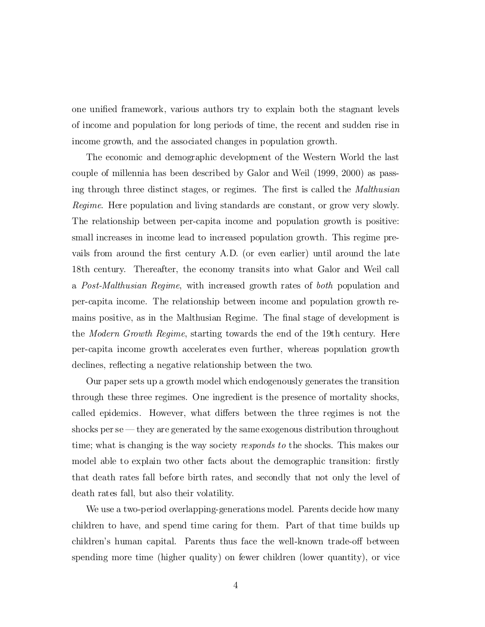one unified framework, various authors try to explain both the stagnant levels of income and population for long periods of time, the recent and sudden rise in income growth, and the associated changes in population growth.

The economic and demographic development of the Western World the last couple of millennia has been described by Galor and Weil (1999, 2000) as passing through three distinct stages, or regimes. The first is called the *Malthusian* Regime. Here population and living standards are constant, or grow very slowly. The relationship between per-capita income and population growth is positive: small increases in income lead to increased population growth. This regime prevails from around the first century A.D. (or even earlier) until around the late 18th century. Thereafter, the economy transits into what Galor and Weil call a Post-Malthusian Regime, with increased growth rates of both population and per-capita income. The relationship between income and population growth remains positive, as in the Malthusian Regime. The final stage of development is the Modern Growth Regime, starting towards the end of the 19th century. Here per-capita income growth accelerates even further, whereas population growth declines, reflecting a negative relationship between the two.

Our paper sets up a growth model which endogenously generates the transition through these three regimes. One ingredient is the presence of mortality shocks, called epidemics. However, what differs between the three regimes is not the shocks per se — they are generated by the same exogenous distribution throughout time; what is changing is the way society responds to the shocks. This makes our model able to explain two other facts about the demographic transition: firstly that death rates fall before birth rates, and secondly that not only the level of death rates fall, but also their volatility.

We use a two-period overlapping-generations model. Parents decide how many children to have, and spend time caring for them. Part of that time builds up children's human capital. Parents thus face the well-known trade-off between spending more time (higher quality) on fewer children (lower quantity), or vice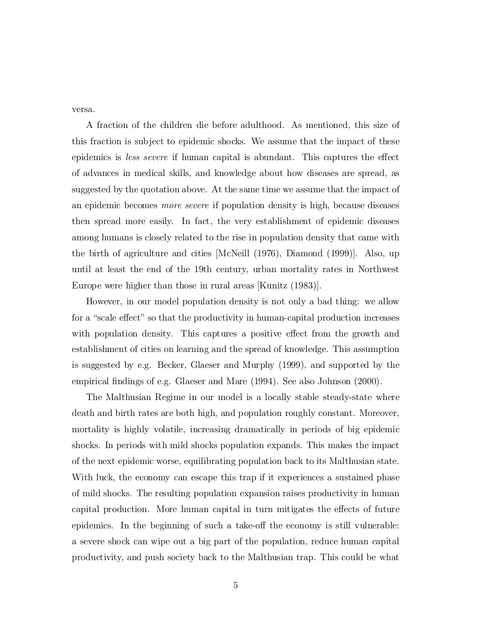versa.

A fraction of the children die before adulthood. As mentioned, this size of this fraction is subject to epidemic shocks. We assume that the impact of these epidemics is *less severe* if human capital is abundant. This captures the effect of advances in medical skills, and knowledge about how diseases are spread, as suggested by the quotation above. At the same time we assume that the impact of an epidemic becomes more severe if population density is high, because diseases then spread more easily. In fact, the very establishment of epidemic diseases among humans is closely related to the rise in population density that came with the birth of agriculture and cities [McNeill (1976), Diamond (1999)]. Also, up until at least the end of the 19th century, urban mortality rates in Northwest Europe were higher than those in rural areas [Kunitz (1983)].

However, in our model population density is not only a bad thing: we allow for a "scale effect" so that the productivity in human-capital production increases with population density. This captures a positive effect from the growth and establishment of cities on learning and the spread of knowledge. This assumption is suggested by e.g. Becker, Glaeser and Murphy (1999), and supported by the empirical findings of e.g. Glaeser and Mare  $(1994)$ . See also Johnson  $(2000)$ .

The Malthusian Regime in our model is a locally stable steady-state where death and birth rates are both high, and population roughly constant. Moreover, mortality is highly volatile, increasing dramatically in periods of big epidemic shocks. In periods with mild shocks population expands. This makes the impact of the next epidemic worse, equilibrating population back to its Malthusian state. With luck, the economy can escape this trap if it experiences a sustained phase of mild shocks. The resulting population expansion raises productivity in human capital production. More human capital in turn mitigates the effects of future epidemics. In the beginning of such a take-off the economy is still vulnerable: a severe shock can wipe out a big part of the population, reduce human capital productivity, and push society back to the Malthusian trap. This could be what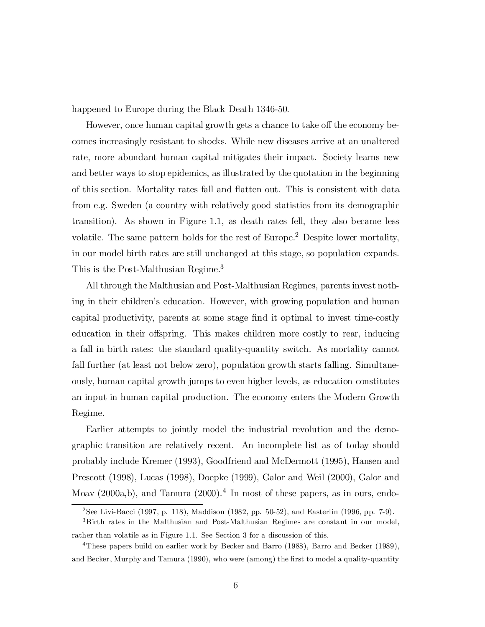happened to Europe during the Black Death 1346-50.

However, once human capital growth gets a chance to take off the economy becomes increasingly resistant to shocks. While new diseases arrive at an unaltered rate, more abundant human capital mitigates their impact. Society learns new and better ways to stop epidemics, as illustrated by the quotation in the beginning of this section. Mortality rates fall and flatten out. This is consistent with data from e.g. Sweden (a country with relatively good statistics from its demographic transition). As shown in Figure 1.1, as death rates fell, they also became less volatile. The same pattern holds for the rest of Europe.<sup>2</sup> Despite lower mortality, in our model birth rates are still unchanged at this stage, so population expands. This is the Post-Malthusian Regime.<sup>3</sup>

All through the Malthusian and Post-Malthusian Regimes, parents invest nothing in their children's education. However, with growing population and human capital productivity, parents at some stage find it optimal to invest time-costly education in their offspring. This makes children more costly to rear, inducing a fall in birth rates: the standard quality-quantity switch. As mortality cannot fall further (at least not below zero), population growth starts falling. Simultaneously, human capital growth jumps to even higher levels, as education constitutes an input in human capital production. The economy enters the Modern Growth Regime.

Earlier attempts to jointly model the industrial revolution and the demographic transition are relatively recent. An incomplete list as of today should probably include Kremer (1993), Goodfriend and McDermott (1995), Hansen and Prescott (1998), Lucas (1998), Doepke (1999), Galor and Weil (2000), Galor and Moav (2000a,b), and Tamura (2000).<sup>4</sup> In most of these papers, as in ours, endo-

<sup>&</sup>lt;sup>2</sup>See Livi-Bacci (1997, p. 118), Maddison (1982, pp. 50-52), and Easterlin (1996, pp. 7-9).

<sup>3</sup>Birth rates in the Malthusian and Post-Malthusian Regimes are constant in our model, rather than volatile as in Figure 1.1. See Section 3 for a discussion of this.

<sup>4</sup>These papers build on earlier work by Becker and Barro (1988), Barro and Becker (1989), and Becker, Murphy and Tamura (1990), who were (among) the first to model a quality-quantity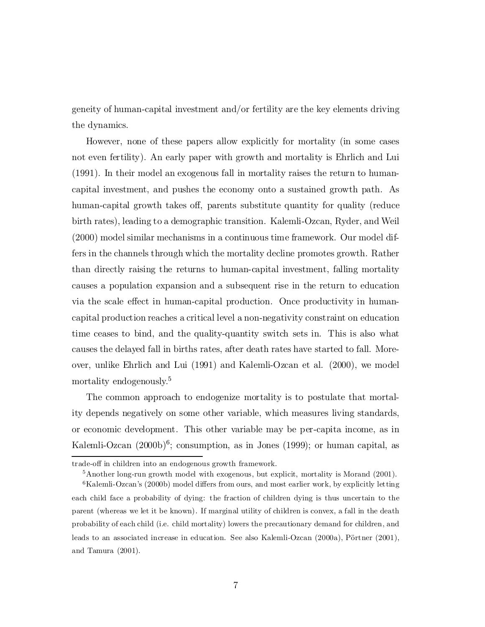geneity of human-capital investment and/or fertility are the key elements driving the dynamics.

However, none of these papers allow explicitly for mortality (in some cases not even fertility). An early paper with growth and mortality is Ehrlich and Lui (1991). In their model an exogenous fall in mortality raises the return to humancapital investment, and pushes the economy onto a sustained growth path. As human-capital growth takes off, parents substitute quantity for quality (reduce birth rates), leading to a demographic transition. Kalemli-Ozcan, Ryder, and Weil (2000) model similar mechanisms in a continuous time framework. Our model differs in the channels through which the mortality decline promotes growth. Rather than directly raising the returns to human-capital investment, falling mortality causes a population expansion and a subsequent rise in the return to education via the scale effect in human-capital production. Once productivity in humancapital production reaches a critical level a non-negativity constraint on education time ceases to bind, and the quality-quantity switch sets in. This is also what causes the delayed fall in births rates, after death rates have started to fall. Moreover, unlike Ehrlich and Lui (1991) and Kalemli-Ozcan et al. (2000), we model mortality endogenously.<sup>5</sup>

The common approach to endogenize mortality is to postulate that mortality depends negatively on some other variable, which measures living standards, or economic development. This other variable may be per-capita income, as in Kalemli-Ozcan (2000b) 6 ; consumption, as in Jones (1999); or human capital, as

trade-off in children into an endogenous growth framework.

<sup>5</sup>Another long-run growth model with exogenous, but explicit, mortality is Morand (2001).

 $6$ Kalemli-Ozcan's (2000b) model differs from ours, and most earlier work, by explicitly letting each child face a probability of dying: the fraction of children dying is thus uncertain to the parent (whereas we let it be known). If marginal utility of children is convex, a fall in the death probability of each child (i.e. child mortality) lowers the precautionary demand for children, and leads to an associated increase in education. See also Kalemli-Ozcan  $(2000a)$ , Pörtner  $(2001)$ , and Tamura (2001).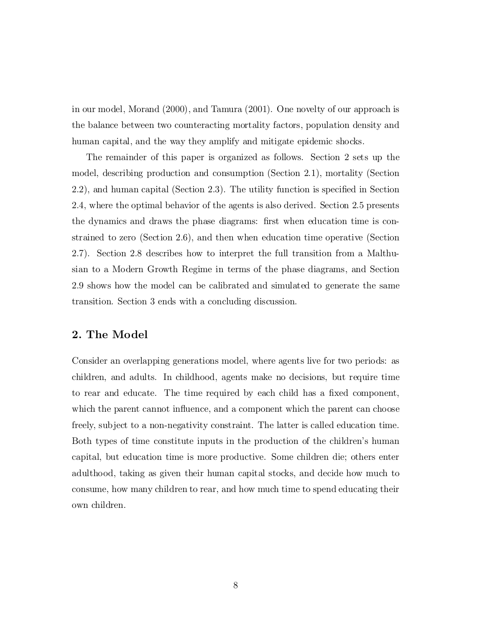in our model, Morand (2000), and Tamura (2001). One novelty of our approach is the balance between two counteracting mortality factors, population density and human capital, and the way they amplify and mitigate epidemic shocks.

The remainder of this paper is organized as follows. Section 2 sets up the model, describing production and consumption (Section 2.1), mortality (Section  $2.2$ , and human capital (Section 2.3). The utility function is specified in Section 2.4, where the optimal behavior of the agents is also derived. Section 2.5 presents the dynamics and draws the phase diagrams: first when education time is constrained to zero (Section 2.6), and then when education time operative (Section 2.7). Section 2.8 describes how to interpret the full transition from a Malthusian to a Modern Growth Regime in terms of the phase diagrams, and Section 2.9 shows how the model can be calibrated and simulated to generate the same transition. Section 3 ends with a concluding discussion.

# 2. The Model

Consider an overlapping generations model, where agents live for two periods: as children, and adults. In childhood, agents make no decisions, but require time to rear and educate. The time required by each child has a fixed component, which the parent cannot influence, and a component which the parent can choose freely, subject to a non-negativity constraint. The latter is called education time. Both types of time constitute inputs in the production of the children's human capital, but education time is more productive. Some children die; others enter adulthood, taking as given their human capital stocks, and decide how much to consume, how many children to rear, and how much time to spend educating their own children.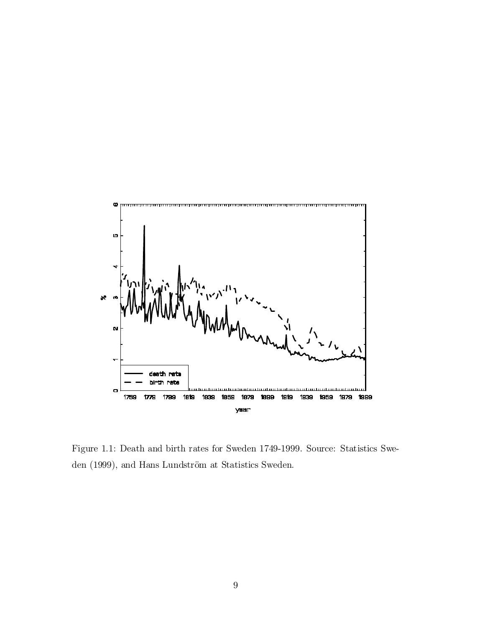

Figure 1.1: Death and birth rates for Sweden 1749-1999. Source: Statistics Sweden (1999), and Hans Lundström at Statistics Sweden.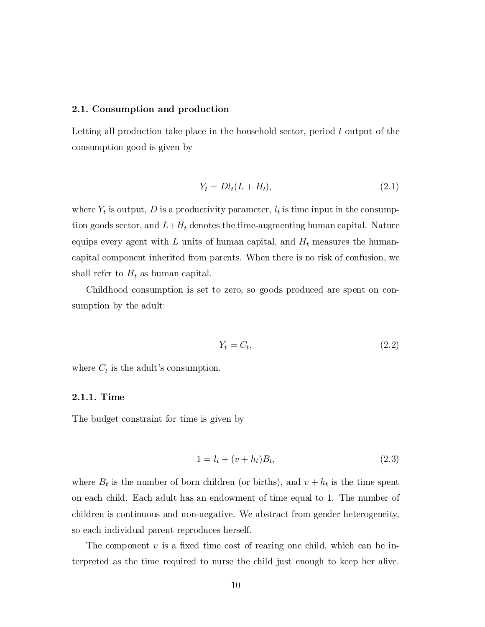#### 2.1. Consumption and production

Letting all production take place in the household sector, period  $t$  output of the consumption good is given by

$$
Y_t = Dl_t(L + H_t),\tag{2.1}
$$

where  $Y_t$  is output, D is a productivity parameter,  $l_t$  is time input in the consumption goods sector, and  $L+H_t$  denotes the time-augmenting human capital. Nature equips every agent with L units of human capital, and  $H_t$  measures the humancapital component inherited from parents. When there is no risk of confusion, we shall refer to  $H_t$  as human capital.

Childhood consumption is set to zero, so goods produced are spent on consumption by the adult:

$$
Y_t = C_t,\tag{2.2}
$$

where  $C_t$  is the adult's consumption.

#### 2.1.1. Time

The budget constraint for time is given by

$$
1 = l_t + (v + h_t)B_t,
$$
\n(2.3)

where  $B_t$  is the number of born children (or births), and  $v + h_t$  is the time spent on each child. Each adult has an endowment of time equal to 1. The number of children is continuous and non-negative. We abstract from gender heterogeneity, so each individual parent reproduces herself.

The component  $v$  is a fixed time cost of rearing one child, which can be interpreted as the time required to nurse the child just enough to keep her alive.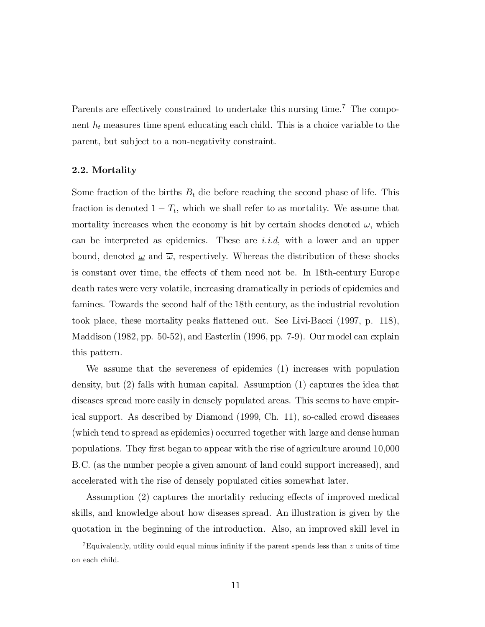Parents are effectively constrained to undertake this nursing time.<sup>7</sup> The component  $h_t$  measures time spent educating each child. This is a choice variable to the parent, but subject to a non-negativity constraint.

#### 2.2. Mortality

Some fraction of the births  $B_t$  die before reaching the second phase of life. This fraction is denoted  $1 - T_t$ , which we shall refer to as mortality. We assume that mortality increases when the economy is hit by certain shocks denoted  $\omega$ , which can be interpreted as epidemics. These are *i.i.d*, with a lower and an upper bound, denoted  $\omega$  and  $\overline{\omega}$ , respectively. Whereas the distribution of these shocks is constant over time, the effects of them need not be. In 18th-century Europe death rates were very volatile, increasing dramatically in periods of epidemics and famines. Towards the second half of the 18th century, as the industrial revolution took place, these mortality peaks flattened out. See Livi-Bacci (1997, p. 118), Maddison (1982, pp. 50-52), and Easterlin (1996, pp. 7-9). Our model can explain this pattern.

We assume that the severeness of epidemics (1) increases with population density, but (2) falls with human capital. Assumption (1) captures the idea that diseases spread more easily in densely populated areas. This seems to have empirical support. As described by Diamond (1999, Ch. 11), so-called crowd diseases (which tend to spread as epidemics) occurred together with large and dense human populations. They ¯rst began to appear with the rise of agriculture around 10,000 B.C. (as the number people a given amount of land could support increased), and accelerated with the rise of densely populated cities somewhat later.

Assumption (2) captures the mortality reducing effects of improved medical skills, and knowledge about how diseases spread. An illustration is given by the quotation in the beginning of the introduction. Also, an improved skill level in

 $^7$ Equivalently, utility could equal minus infinity if the parent spends less than v units of time on each child.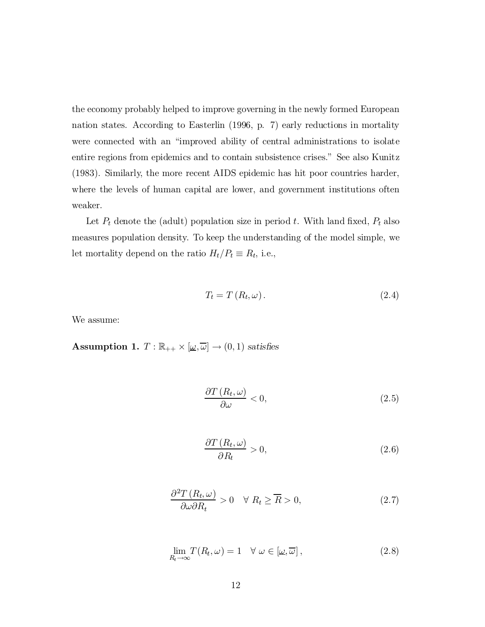the economy probably helped to improve governing in the newly formed European nation states. According to Easterlin (1996, p. 7) early reductions in mortality were connected with an "improved ability of central administrations to isolate entire regions from epidemics and to contain subsistence crises." See also Kunitz (1983). Similarly, the more recent AIDS epidemic has hit poor countries harder, where the levels of human capital are lower, and government institutions often weaker.

Let  $P_t$  denote the (adult) population size in period t. With land fixed,  $P_t$  also measures population density. To keep the understanding of the model simple, we let mortality depend on the ratio  $H_t/P_t \equiv R_t$ , i.e.,

$$
T_t = T(R_t, \omega). \tag{2.4}
$$

We assume:

Assumption 1.  $T : \mathbb{R}_{++} \times [\underline{\omega}, \overline{\omega}] \to (0, 1)$  satisfies

$$
\frac{\partial T\left(R_t,\omega\right)}{\partial \omega} < 0,\tag{2.5}
$$

$$
\frac{\partial T(R_t, \omega)}{\partial R_t} > 0, \qquad (2.6)
$$

$$
\frac{\partial^2 T(R_t, \omega)}{\partial \omega \partial R_t} > 0 \quad \forall \ R_t \ge \overline{R} > 0,
$$
\n(2.7)

$$
\lim_{R_t \to \infty} T(R_t, \omega) = 1 \quad \forall \omega \in [\underline{\omega}, \overline{\omega}], \tag{2.8}
$$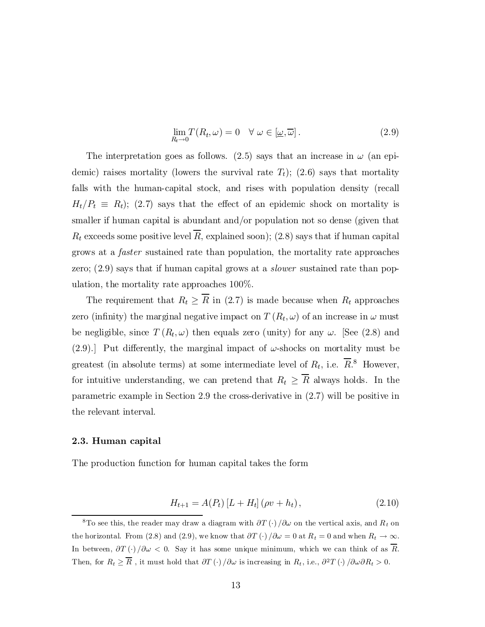$$
\lim_{R_t \to 0} T(R_t, \omega) = 0 \quad \forall \omega \in [\underline{\omega}, \overline{\omega}]. \tag{2.9}
$$

The interpretation goes as follows. (2.5) says that an increase in  $\omega$  (an epidemic) raises mortality (lowers the survival rate  $T_t$ ); (2.6) says that mortality falls with the human-capital stock, and rises with population density (recall  $H_t/P_t \equiv R_t$ ; (2.7) says that the effect of an epidemic shock on mortality is smaller if human capital is abundant and/or population not so dense (given that  $R_t$  exceeds some positive level  $\overline{R}$ , explained soon); (2.8) says that if human capital grows at a faster sustained rate than population, the mortality rate approaches zero;  $(2.9)$  says that if human capital grows at a *slower* sustained rate than population, the mortality rate approaches 100%.

The requirement that  $R_t \geq \overline{R}$  in (2.7) is made because when  $R_t$  approaches zero (infinity) the marginal negative impact on  $T(R_t, \omega)$  of an increase in  $\omega$  must be negligible, since  $T(R_t, \omega)$  then equals zero (unity) for any  $\omega$ . [See (2.8) and (2.9).] Put differently, the marginal impact of  $\omega$ -shocks on mortality must be greatest (in absolute terms) at some intermediate level of  $R_t$ , i.e.  $R$ <sup>8</sup>. However, for intuitive understanding, we can pretend that  $R_t \geq \overline{R}$  always holds. In the parametric example in Section 2.9 the cross-derivative in (2.7) will be positive in the relevant interval.

#### 2.3. Human capital

The production function for human capital takes the form

$$
H_{t+1} = A(P_t) [L + H_t] (\rho v + h_t), \qquad (2.10)
$$

<sup>&</sup>lt;sup>8</sup>To see this, the reader may draw a diagram with  $\partial T(\cdot)/\partial \omega$  on the vertical axis, and  $R_t$  on the horizontal. From (2.8) and (2.9), we know that  $\partial T(\cdot)/\partial \omega = 0$  at  $R_t = 0$  and when  $R_t \to \infty$ . In between,  $\frac{\partial T(\cdot)}{\partial \omega} < 0$ . Say it has some unique minimum, which we can think of as  $\overline{R}$ . Then, for  $R_t \ge R$ , it must hold that  $\partial T(\cdot)/\partial \omega$  is increasing in  $R_t$ , i.e.,  $\partial^2 T(\cdot)/\partial \omega \partial R_t > 0$ .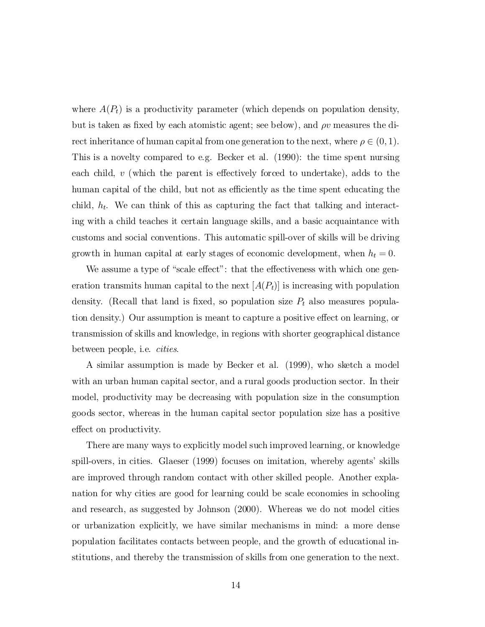where  $A(P_t)$  is a productivity parameter (which depends on population density, but is taken as fixed by each atomistic agent; see below), and  $\rho v$  measures the direct inheritance of human capital from one generation to the next, where  $\rho \in (0,1)$ . This is a novelty compared to e.g. Becker et al. (1990): the time spent nursing each child,  $v$  (which the parent is effectively forced to undertake), adds to the human capital of the child, but not as efficiently as the time spent educating the child,  $h_t$ . We can think of this as capturing the fact that talking and interacting with a child teaches it certain language skills, and a basic acquaintance with customs and social conventions. This automatic spill-over of skills will be driving growth in human capital at early stages of economic development, when  $h_t = 0$ .

We assume a type of "scale effect": that the effectiveness with which one generation transmits human capital to the next  $[A(P_t)]$  is increasing with population density. (Recall that land is fixed, so population size  $P_t$  also measures population density.) Our assumption is meant to capture a positive effect on learning, or transmission of skills and knowledge, in regions with shorter geographical distance between people, i.e. cities.

A similar assumption is made by Becker et al. (1999), who sketch a model with an urban human capital sector, and a rural goods production sector. In their model, productivity may be decreasing with population size in the consumption goods sector, whereas in the human capital sector population size has a positive effect on productivity.

There are many ways to explicitly model such improved learning, or knowledge spill-overs, in cities. Glaeser (1999) focuses on imitation, whereby agents' skills are improved through random contact with other skilled people. Another explanation for why cities are good for learning could be scale economies in schooling and research, as suggested by Johnson (2000). Whereas we do not model cities or urbanization explicitly, we have similar mechanisms in mind: a more dense population facilitates contacts between people, and the growth of educational institutions, and thereby the transmission of skills from one generation to the next.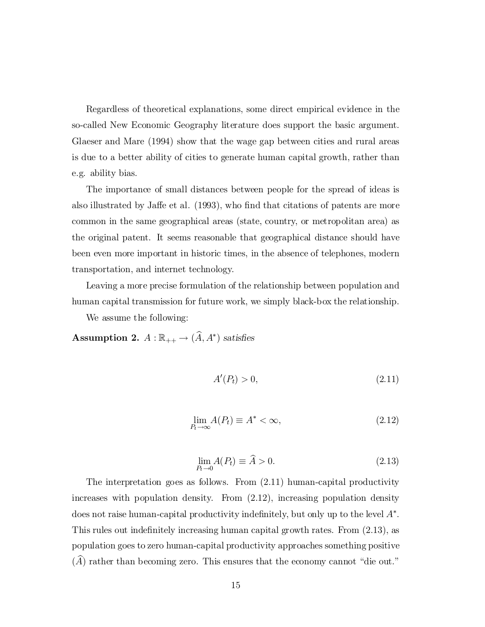Regardless of theoretical explanations, some direct empirical evidence in the so-called New Economic Geography literature does support the basic argument. Glaeser and Mare (1994) show that the wage gap between cities and rural areas is due to a better ability of cities to generate human capital growth, rather than e.g. ability bias.

The importance of small distances between people for the spread of ideas is also illustrated by Jaffe et al. (1993), who find that citations of patents are more common in the same geographical areas (state, country, or metropolitan area) as the original patent. It seems reasonable that geographical distance should have been even more important in historic times, in the absence of telephones, modern transportation, and internet technology.

Leaving a more precise formulation of the relationship between population and human capital transmission for future work, we simply black-box the relationship.

We assume the following:

Assumption 2.  $A: \mathbb{R}_{++} \to (A, A^*)$  satisfies

$$
A'(P_t) > 0,\t\t(2.11)
$$

$$
\lim_{P_t \to \infty} A(P_t) \equiv A^* < \infty,\tag{2.12}
$$

$$
\lim_{P_t \to 0} A(P_t) \equiv \widehat{A} > 0. \tag{2.13}
$$

The interpretation goes as follows. From (2.11) human-capital productivity increases with population density. From (2.12), increasing population density does not raise human-capital productivity indefinitely, but only up to the level  $A^*$ . This rules out indefinitely increasing human capital growth rates. From  $(2.13)$ , as population goes to zero human-capital productivity approaches something positive  $(A)$  rather than becoming zero. This ensures that the economy cannot "die out."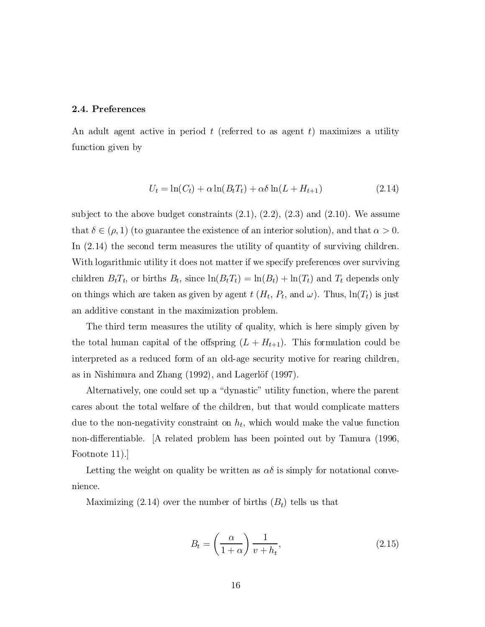### 2.4. Preferences

An adult agent active in period  $t$  (referred to as agent  $t$ ) maximizes a utility function given by

$$
U_t = \ln(C_t) + \alpha \ln(B_t T_t) + \alpha \delta \ln(L + H_{t+1})
$$
\n(2.14)

subject to the above budget constraints  $(2.1)$ ,  $(2.2)$ ,  $(2.3)$  and  $(2.10)$ . We assume that  $\delta \in (\rho, 1)$  (to guarantee the existence of an interior solution), and that  $\alpha > 0$ . In (2.14) the second term measures the utility of quantity of surviving children. With logarithmic utility it does not matter if we specify preferences over surviving children  $B_tT_t$ , or births  $B_t$ , since  $\ln(B_tT_t) = \ln(B_t) + \ln(T_t)$  and  $T_t$  depends only on things which are taken as given by agent  $t$  ( $H_t$ ,  $P_t$ , and  $\omega$ ). Thus,  $\ln(T_t)$  is just an additive constant in the maximization problem.

The third term measures the utility of quality, which is here simply given by the total human capital of the offspring  $(L + H_{t+1})$ . This formulation could be interpreted as a reduced form of an old-age security motive for rearing children, as in Nishimura and Zhang  $(1992)$ , and Lagerlöf  $(1997)$ .

Alternatively, one could set up a "dynastic" utility function, where the parent cares about the total welfare of the children, but that would complicate matters due to the non-negativity constraint on  $h_t$ , which would make the value function non-differentiable. [A related problem has been pointed out by Tamura (1996, Footnote 11).]

Letting the weight on quality be written as  $\alpha\delta$  is simply for notational convenience.

Maximizing (2.14) over the number of births  $(B_t)$  tells us that

$$
B_t = \left(\frac{\alpha}{1+\alpha}\right) \frac{1}{v+h_t},\tag{2.15}
$$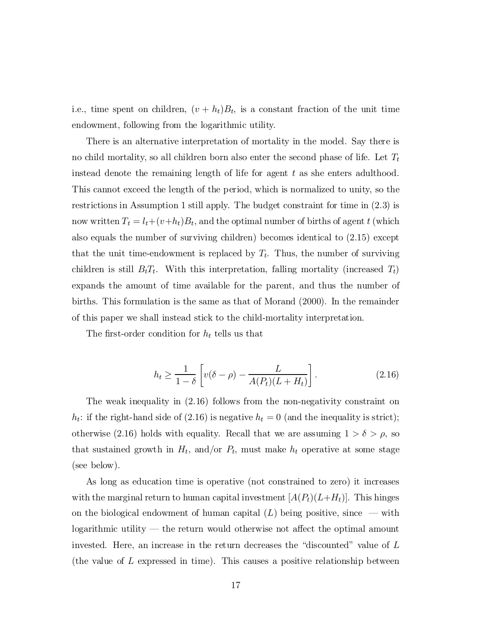i.e., time spent on children,  $(v + h_t)B_t$ , is a constant fraction of the unit time endowment, following from the logarithmic utility.

There is an alternative interpretation of mortality in the model. Say there is no child mortality, so all children born also enter the second phase of life. Let  $T_t$ instead denote the remaining length of life for agent  $t$  as she enters adulthood. This cannot exceed the length of the period, which is normalized to unity, so the restrictions in Assumption 1 still apply. The budget constraint for time in (2.3) is now written  $T_t = l_t + (v+h_t)B_t$ , and the optimal number of births of agent t (which also equals the number of surviving children) becomes identical to (2.15) except that the unit time-endowment is replaced by  $T_t$ . Thus, the number of surviving children is still  $B_tT_t$ . With this interpretation, falling mortality (increased  $T_t$ ) expands the amount of time available for the parent, and thus the number of births. This formulation is the same as that of Morand (2000). In the remainder of this paper we shall instead stick to the child-mortality interpretation.

The first-order condition for  $h_t$  tells us that

$$
h_t \ge \frac{1}{1-\delta} \left[ v(\delta - \rho) - \frac{L}{A(P_t)(L+H_t)} \right]. \tag{2.16}
$$

The weak inequality in (2.16) follows from the non-negativity constraint on  $h_t$ : if the right-hand side of (2.16) is negative  $h_t = 0$  (and the inequality is strict); otherwise (2.16) holds with equality. Recall that we are assuming  $1 > \delta > \rho$ , so that sustained growth in  $H_t$ , and/or  $P_t$ , must make  $h_t$  operative at some stage (see below).

As long as education time is operative (not constrained to zero) it increases with the marginal return to human capital investment  $[A(P_t)(L+H_t)]$ . This hinges on the biological endowment of human capital  $(L)$  being positive, since  $-\text{ with}$  $logarithmic$  utility  $-$  the return would otherwise not affect the optimal amount invested. Here, an increase in the return decreases the "discounted" value of  $L$ (the value of L expressed in time). This causes a positive relationship between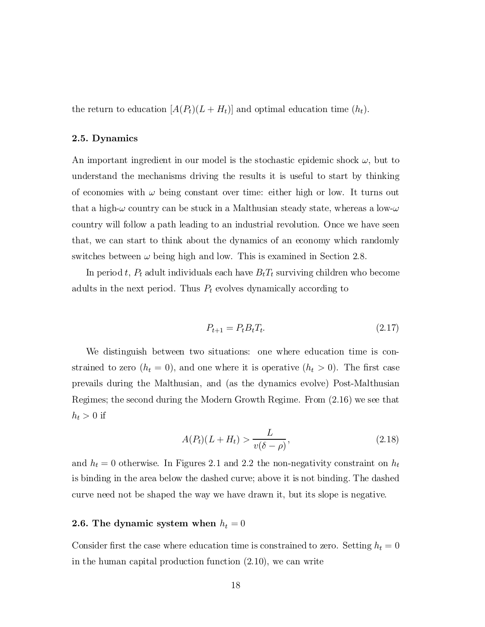the return to education  $[A(P_t)(L + H_t)]$  and optimal education time  $(h_t)$ .

#### 2.5. Dynamics

An important ingredient in our model is the stochastic epidemic shock  $\omega$ , but to understand the mechanisms driving the results it is useful to start by thinking of economies with  $\omega$  being constant over time: either high or low. It turns out that a high- $\omega$  country can be stuck in a Malthusian steady state, whereas a low- $\omega$ country will follow a path leading to an industrial revolution. Once we have seen that, we can start to think about the dynamics of an economy which randomly switches between  $\omega$  being high and low. This is examined in Section 2.8.

In period t,  $P_t$  adult individuals each have  $B_tT_t$  surviving children who become adults in the next period. Thus  $P_t$  evolves dynamically according to

$$
P_{t+1} = P_t B_t T_t. \tag{2.17}
$$

We distinguish between two situations: one where education time is constrained to zero  $(h_t = 0)$ , and one where it is operative  $(h_t > 0)$ . The first case prevails during the Malthusian, and (as the dynamics evolve) Post-Malthusian Regimes; the second during the Modern Growth Regime. From (2.16) we see that  $h_t > 0$  if

$$
A(P_t)(L+H_t) > \frac{L}{v(\delta - \rho)},
$$
\n(2.18)

and  $h_t = 0$  otherwise. In Figures 2.1 and 2.2 the non-negativity constraint on  $h_t$ is binding in the area below the dashed curve; above it is not binding. The dashed curve need not be shaped the way we have drawn it, but its slope is negative.

# 2.6. The dynamic system when  $h_t = 0$

Consider first the case where education time is constrained to zero. Setting  $h_t = 0$ in the human capital production function (2.10), we can write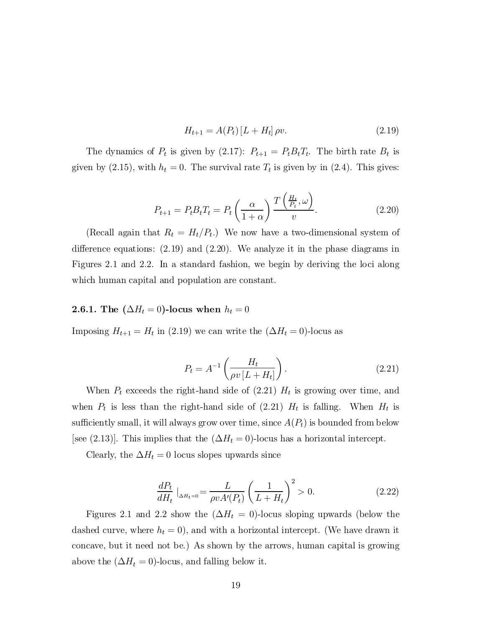$$
H_{t+1} = A(P_t) \left[ L + H_t \right] \rho v. \tag{2.19}
$$

The dynamics of  $P_t$  is given by (2.17):  $P_{t+1} = P_t B_t T_t$ . The birth rate  $B_t$  is given by (2.15), with  $h_t = 0$ . The survival rate  $T_t$  is given by in (2.4). This gives:

$$
P_{t+1} = P_t B_t T_t = P_t \left(\frac{\alpha}{1+\alpha}\right) \frac{T\left(\frac{H_t}{P_t}, \omega\right)}{v}.
$$
\n(2.20)

(Recall again that  $R_t = H_t/P_t$ .) We now have a two-dimensional system of difference equations:  $(2.19)$  and  $(2.20)$ . We analyze it in the phase diagrams in Figures 2.1 and 2.2. In a standard fashion, we begin by deriving the loci along which human capital and population are constant.

# 2.6.1. The  $(\Delta H_t = 0)$ -locus when  $h_t = 0$

Imposing  $H_{t+1} = H_t$  in (2.19) we can write the  $(\Delta H_t = 0)$ -locus as

$$
P_t = A^{-1} \left( \frac{H_t}{\rho v \left[ L + H_t \right]} \right). \tag{2.21}
$$

When  $P_t$  exceeds the right-hand side of (2.21)  $H_t$  is growing over time, and when  $P_t$  is less than the right-hand side of (2.21)  $H_t$  is falling. When  $H_t$  is sufficiently small, it will always grow over time, since  $A(P_t)$  is bounded from below [see (2.13)]. This implies that the  $(\Delta H_t = 0)$ -locus has a horizontal intercept.

Clearly, the  $\Delta H_t = 0$  locus slopes upwards since

$$
\frac{dP_t}{dH_t}\Big|_{\Delta H_t=0} = \frac{L}{\rho v A'(P_t)} \left(\frac{1}{L+H_t}\right)^2 > 0.
$$
\n(2.22)

Figures 2.1 and 2.2 show the  $(\Delta H_t = 0)$ -locus sloping upwards (below the dashed curve, where  $h_t = 0$ , and with a horizontal intercept. (We have drawn it concave, but it need not be.) As shown by the arrows, human capital is growing above the  $(\Delta H_t = 0)$ -locus, and falling below it.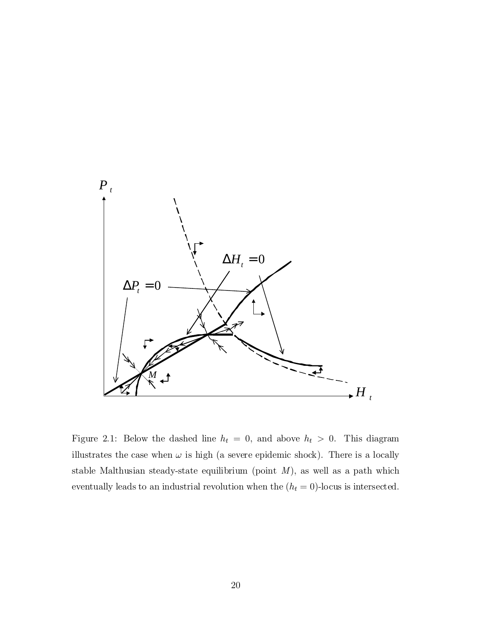

Figure 2.1: Below the dashed line  $h_t = 0$ , and above  $h_t > 0$ . This diagram illustrates the case when  $\omega$  is high (a severe epidemic shock). There is a locally stable Malthusian steady-state equilibrium (point  $M$ ), as well as a path which eventually leads to an industrial revolution when the  $(h_t = 0)$ -locus is intersected.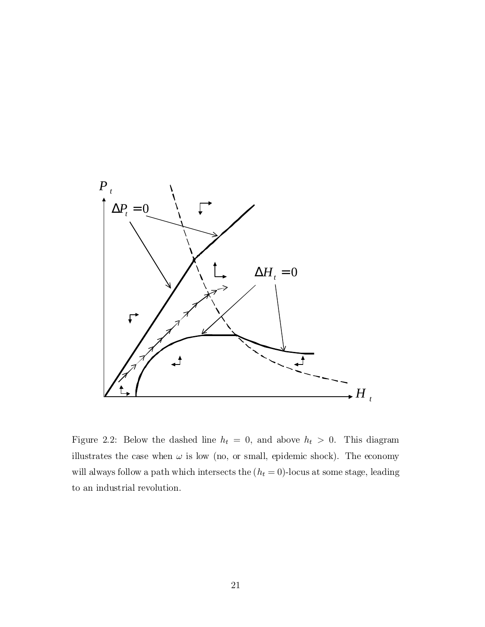

Figure 2.2: Below the dashed line  $h_t = 0$ , and above  $h_t > 0$ . This diagram illustrates the case when  $\omega$  is low (no, or small, epidemic shock). The economy will always follow a path which intersects the  $(h_t = 0)$ -locus at some stage, leading to an industrial revolution.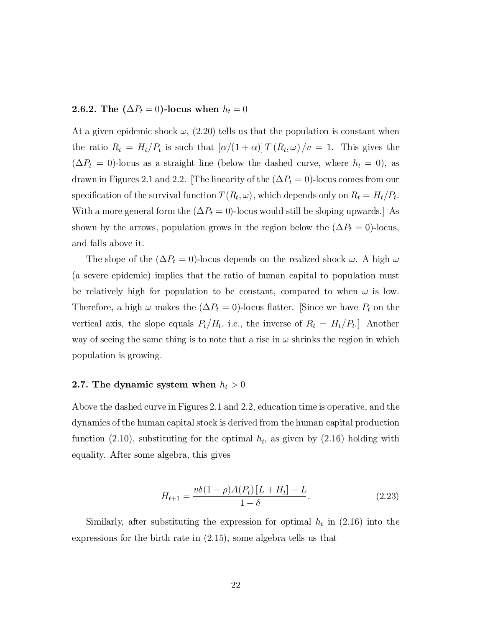# **2.6.2.** The  $(\Delta P_t = 0)$ -locus when  $h_t = 0$

At a given epidemic shock  $\omega$ , (2.20) tells us that the population is constant when the ratio  $R_t = H_t/P_t$  is such that  $\left[\alpha/(1+\alpha)\right] T (R_t,\omega)/v = 1$ . This gives the  $(\Delta P_t = 0)$ -locus as a straight line (below the dashed curve, where  $h_t = 0$ ), as drawn in Figures 2.1 and 2.2. [The linearity of the  $(\Delta P_t = 0)$ -locus comes from our specification of the survival function  $T(R_t, \omega)$ , which depends only on  $R_t = H_t/P_t$ . With a more general form the  $(\Delta P_t = 0)$ -locus would still be sloping upwards.] As shown by the arrows, population grows in the region below the  $(\Delta P_t = 0)$ -locus, and falls above it.

The slope of the  $(\Delta P_t = 0)$ -locus depends on the realized shock  $\omega$ . A high  $\omega$ (a severe epidemic) implies that the ratio of human capital to population must be relatively high for population to be constant, compared to when  $\omega$  is low. Therefore, a high  $\omega$  makes the  $(\Delta P_t = 0)$ -locus flatter. [Since we have  $P_t$  on the vertical axis, the slope equals  $P_t/H_t$ , i.e., the inverse of  $R_t = H_t/P_t$ . Another way of seeing the same thing is to note that a rise in  $\omega$  shrinks the region in which population is growing.

### 2.7. The dynamic system when  $h_t > 0$

Above the dashed curve in Figures 2.1 and 2.2, education time is operative, and the dynamics of the human capital stock is derived from the human capital production function (2.10), substituting for the optimal  $h_t$ , as given by (2.16) holding with equality. After some algebra, this gives

$$
H_{t+1} = \frac{v\delta(1-\rho)A(P_t)[L+H_t]-L}{1-\delta}.
$$
\n(2.23)

Similarly, after substituting the expression for optimal  $h_t$  in (2.16) into the expressions for the birth rate in (2.15), some algebra tells us that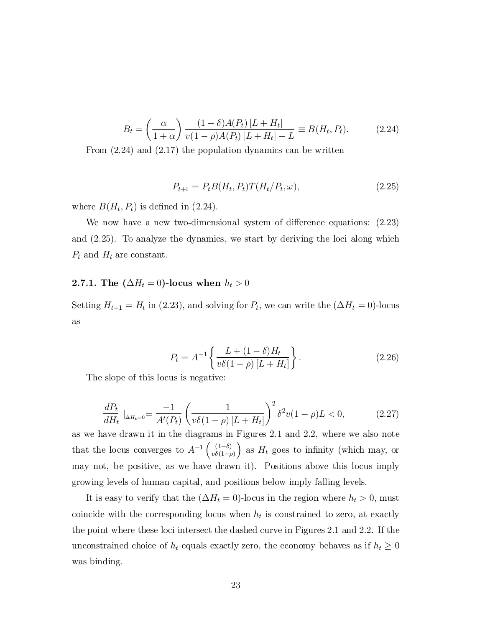$$
B_t = \left(\frac{\alpha}{1+\alpha}\right) \frac{(1-\delta)A(P_t)[L+H_t]}{v(1-\rho)A(P_t)[L+H_t]-L} \equiv B(H_t, P_t). \tag{2.24}
$$

From (2.24) and (2.17) the population dynamics can be written

$$
P_{t+1} = P_t B(H_t, P_t) T(H_t / P_t, \omega), \qquad (2.25)
$$

where  $B(H_t, P_t)$  is defined in (2.24).

We now have a new two-dimensional system of difference equations:  $(2.23)$ and (2.25). To analyze the dynamics, we start by deriving the loci along which  $P_t$  and  $H_t$  are constant.

# 2.7.1. The  $(\Delta H_t = 0)$ -locus when  $h_t > 0$

Setting  $H_{t+1} = H_t$  in (2.23), and solving for  $P_t$ , we can write the ( $\Delta H_t = 0$ )-locus as

$$
P_t = A^{-1} \left\{ \frac{L + (1 - \delta)H_t}{v\delta(1 - \rho)[L + H_t]} \right\}.
$$
 (2.26)

The slope of this locus is negative:

$$
\frac{dP_t}{dH_t}\Big|_{\Delta H_t=0} = \frac{-1}{A'(P_t)} \left(\frac{1}{v\delta(1-\rho)[L+H_t]}\right)^2 \delta^2 v(1-\rho)L < 0, \tag{2.27}
$$

as we have drawn it in the diagrams in Figures 2.1 and 2.2, where we also note that the locus converges to  $A^{-1} \left( \frac{(1-\delta)}{v\delta(1-\epsilon)} \right)$  $v\delta(1-\rho)$ ) as  $H_t$  goes to infinity (which may, or may not, be positive, as we have drawn it). Positions above this locus imply growing levels of human capital, and positions below imply falling levels.

It is easy to verify that the  $(\Delta H_t = 0)$ -locus in the region where  $h_t > 0$ , must coincide with the corresponding locus when  $h_t$  is constrained to zero, at exactly the point where these loci intersect the dashed curve in Figures 2.1 and 2.2. If the unconstrained choice of  $h_t$  equals exactly zero, the economy behaves as if  $h_t \geq 0$ was binding.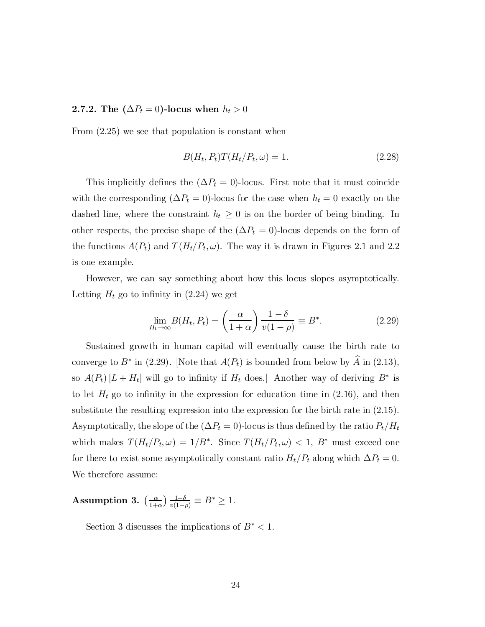# 2.7.2. The  $(\Delta P_t = 0)$ -locus when  $h_t > 0$

From (2.25) we see that population is constant when

$$
B(H_t, P_t)T(H_t/P_t, \omega) = 1.
$$
\n(2.28)

This implicitly defines the  $(\Delta P_t = 0)$ -locus. First note that it must coincide with the corresponding  $(\Delta P_t = 0)$ -locus for the case when  $h_t = 0$  exactly on the dashed line, where the constraint  $h_t \geq 0$  is on the border of being binding. In other respects, the precise shape of the  $(\Delta P_t = 0)$ -locus depends on the form of the functions  $A(P_t)$  and  $T(H_t/P_t, \omega)$ . The way it is drawn in Figures 2.1 and 2.2 is one example.

However, we can say something about how this locus slopes asymptotically. Letting  $H_t$  go to infinity in  $(2.24)$  we get

$$
\lim_{H_t \to \infty} B(H_t, P_t) = \left(\frac{\alpha}{1+\alpha}\right) \frac{1-\delta}{v(1-\rho)} \equiv B^*.
$$
\n(2.29)

Sustained growth in human capital will eventually cause the birth rate to converge to  $B^*$  in (2.29). [Note that  $A(P_t)$  is bounded from below by A in (2.13), so  $A(P_t)[L + H_t]$  will go to infinity if  $H_t$  does.] Another way of deriving  $B^*$  is to let  $H_t$  go to infinity in the expression for education time in (2.16), and then substitute the resulting expression into the expression for the birth rate in (2.15). Asymptotically, the slope of the  $(\Delta P_t = 0)$ -locus is thus defined by the ratio  $P_t/H_t$ which makes  $T(H_t/P_t, \omega) = 1/B^*$ . Since  $T(H_t/P_t, \omega) < 1$ ,  $B^*$  must exceed one for there to exist some asymptotically constant ratio  $H_t/P_t$  along which  $\Delta P_t = 0$ . We therefore assume:

Assumption 3.  $\left(\frac{\alpha}{1+\alpha}\right)$  $\frac{\alpha}{v(1-\rho)} \equiv B^* \ge 1.$ 

Section 3 discusses the implications of  $B^*$  < 1.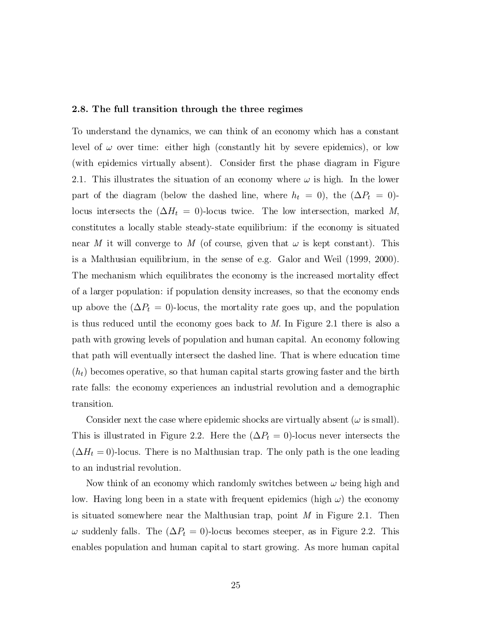#### 2.8. The full transition through the three regimes

To understand the dynamics, we can think of an economy which has a constant level of  $\omega$  over time: either high (constantly hit by severe epidemics), or low (with epidemics virtually absent). Consider first the phase diagram in Figure 2.1. This illustrates the situation of an economy where  $\omega$  is high. In the lower part of the diagram (below the dashed line, where  $h_t = 0$ ), the  $(\Delta P_t = 0)$ locus intersects the  $(\Delta H_t = 0)$ -locus twice. The low intersection, marked M, constitutes a locally stable steady-state equilibrium: if the economy is situated near M it will converge to M (of course, given that  $\omega$  is kept constant). This is a Malthusian equilibrium, in the sense of e.g. Galor and Weil (1999, 2000). The mechanism which equilibrates the economy is the increased mortality effect of a larger population: if population density increases, so that the economy ends up above the  $(\Delta P_t = 0)$ -locus, the mortality rate goes up, and the population is thus reduced until the economy goes back to  $M$ . In Figure 2.1 there is also a path with growing levels of population and human capital. An economy following that path will eventually intersect the dashed line. That is where education time  $(h_t)$  becomes operative, so that human capital starts growing faster and the birth rate falls: the economy experiences an industrial revolution and a demographic transition.

Consider next the case where epidemic shocks are virtually absent  $(\omega \text{ is small}).$ This is illustrated in Figure 2.2. Here the  $(\Delta P_t = 0)$ -locus never intersects the  $(\Delta H_t = 0)$ -locus. There is no Malthusian trap. The only path is the one leading to an industrial revolution.

Now think of an economy which randomly switches between  $\omega$  being high and low. Having long been in a state with frequent epidemics (high  $\omega$ ) the economy is situated somewhere near the Malthusian trap, point M in Figure 2.1. Then  $\omega$  suddenly falls. The  $(\Delta P_t = 0)$ -locus becomes steeper, as in Figure 2.2. This enables population and human capital to start growing. As more human capital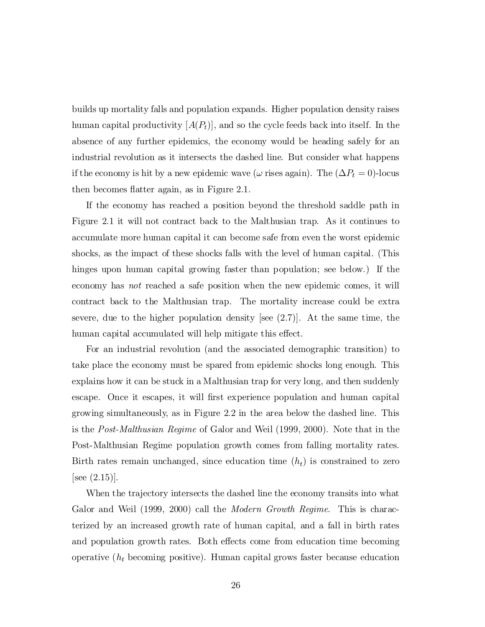builds up mortality falls and population expands. Higher population density raises human capital productivity  $[A(P_t)]$ , and so the cycle feeds back into itself. In the absence of any further epidemics, the economy would be heading safely for an industrial revolution as it intersects the dashed line. But consider what happens if the economy is hit by a new epidemic wave ( $\omega$  rises again). The  $(\Delta P_t = 0)$ -locus then becomes flatter again, as in Figure 2.1.

If the economy has reached a position beyond the threshold saddle path in Figure 2.1 it will not contract back to the Malthusian trap. As it continues to accumulate more human capital it can become safe from even the worst epidemic shocks, as the impact of these shocks falls with the level of human capital. (This hinges upon human capital growing faster than population; see below.) If the economy has not reached a safe position when the new epidemic comes, it will contract back to the Malthusian trap. The mortality increase could be extra severe, due to the higher population density [see (2.7)]. At the same time, the human capital accumulated will help mitigate this effect.

For an industrial revolution (and the associated demographic transition) to take place the economy must be spared from epidemic shocks long enough. This explains how it can be stuck in a Malthusian trap for very long, and then suddenly escape. Once it escapes, it will first experience population and human capital growing simultaneously, as in Figure 2.2 in the area below the dashed line. This is the Post-Malthusian Regime of Galor and Weil (1999, 2000). Note that in the Post-Malthusian Regime population growth comes from falling mortality rates. Birth rates remain unchanged, since education time  $(h_t)$  is constrained to zero  $|see (2.15)|.$ 

When the trajectory intersects the dashed line the economy transits into what Galor and Weil (1999, 2000) call the *Modern Growth Regime*. This is characterized by an increased growth rate of human capital, and a fall in birth rates and population growth rates. Both effects come from education time becoming operative  $(h_t)$  becoming positive). Human capital grows faster because education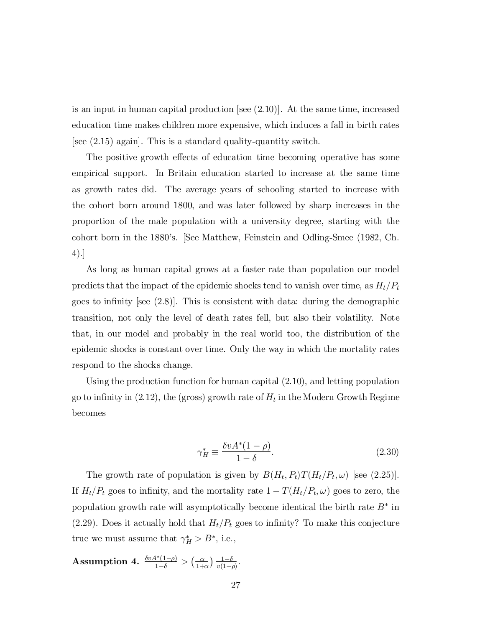is an input in human capital production [see (2.10)]. At the same time, increased education time makes children more expensive, which induces a fall in birth rates  $\left|{\rm see~(2.15)~again}\right|$ . This is a standard quality-quantity switch.

The positive growth effects of education time becoming operative has some empirical support. In Britain education started to increase at the same time as growth rates did. The average years of schooling started to increase with the cohort born around 1800, and was later followed by sharp increases in the proportion of the male population with a university degree, starting with the cohort born in the 1880's. [See Matthew, Feinstein and Odling-Smee (1982, Ch. 4).]

As long as human capital grows at a faster rate than population our model predicts that the impact of the epidemic shocks tend to vanish over time, as  $H_t/P_t$ goes to infinity  $[see (2.8)]$ . This is consistent with data: during the demographic transition, not only the level of death rates fell, but also their volatility. Note that, in our model and probably in the real world too, the distribution of the epidemic shocks is constant over time. Only the way in which the mortality rates respond to the shocks change.

Using the production function for human capital (2.10), and letting population go to infinity in (2.12), the (gross) growth rate of  $H_t$  in the Modern Growth Regime becomes

$$
\gamma_H^* \equiv \frac{\delta v A^*(1-\rho)}{1-\delta}.\tag{2.30}
$$

The growth rate of population is given by  $B(H_t, P_t)T(H_t/P_t, \omega)$  [see (2.25)]. If  $H_t/P_t$  goes to infinity, and the mortality rate  $1 - T(H_t/P_t, \omega)$  goes to zero, the population growth rate will asymptotically become identical the birth rate  $B^*$  in (2.29). Does it actually hold that  $H_t/P_t$  goes to infinity? To make this conjecture true we must assume that  $\gamma_H^* > B^*$ , i.e.,

 $\text{Assumption 4.} \,\, \frac{\delta v A^*(1-\rho)}{1-\delta} > \big(\frac{\alpha}{1+\alpha}\big)$  $\frac{\alpha}{1+\alpha}$ )  $\frac{1-\delta}{v(1-\delta)}$  $\frac{1-\delta}{v(1-\rho)}$ .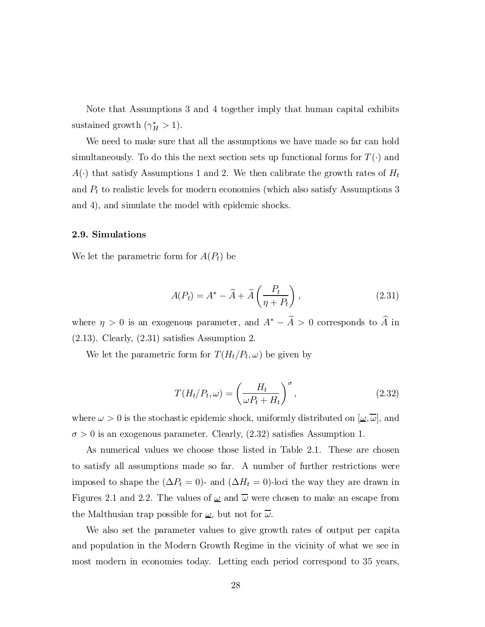Note that Assumptions 3 and 4 together imply that human capital exhibits sustained growth  $(\gamma_H^* > 1)$ .

We need to make sure that all the assumptions we have made so far can hold simultaneously. To do this the next section sets up functional forms for  $T(\cdot)$  and  $A(\cdot)$  that satisfy Assumptions 1 and 2. We then calibrate the growth rates of  $H_t$ and  $P_t$  to realistic levels for modern economies (which also satisfy Assumptions 3 and 4), and simulate the model with epidemic shocks.

# 2.9. Simulations

We let the parametric form for  $A(P_t)$  be

$$
A(P_t) = A^* - \tilde{A} + \tilde{A}\left(\frac{P_t}{\eta + P_t}\right),\tag{2.31}
$$

where  $\eta > 0$  is an exogenous parameter, and  $A^* - A > 0$  corresponds to A in  $(2.13)$ . Clearly,  $(2.31)$  satisfies Assumption 2.

We let the parametric form for  $T(H_t/P_t, \omega)$  be given by

$$
T(H_t/P_t, \omega) = \left(\frac{H_t}{\omega P_t + H_t}\right)^{\sigma}, \qquad (2.32)
$$

where  $\omega > 0$  is the stochastic epidemic shock, uniformly distributed on  $[\underline{\omega}, \overline{\omega}]$ , and  $\sigma > 0$  is an exogenous parameter. Clearly, (2.32) satisfies Assumption 1.

As numerical values we choose those listed in Table 2.1. These are chosen to satisfy all assumptions made so far. A number of further restrictions were imposed to shape the  $(\Delta P_t = 0)$ - and  $(\Delta H_t = 0)$ -loci the way they are drawn in Figures 2.1 and 2.2. The values of  $\omega$  and  $\overline{\omega}$  were chosen to make an escape from the Malthusian trap possible for  $\omega$ , but not for  $\overline{\omega}$ .

We also set the parameter values to give growth rates of output per capita and population in the Modern Growth Regime in the vicinity of what we see in most modern in economies today. Letting each period correspond to 35 years,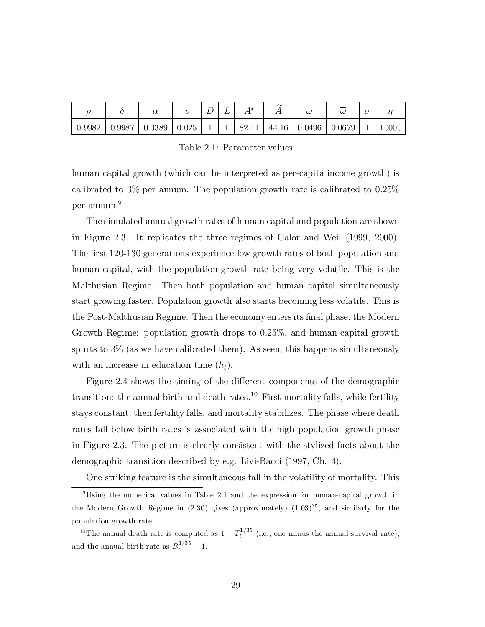|        |        | u      |              |  | ⁄l∗   | $\widetilde{\phantom{m}}$ | $\omega$                        | u | $\sqrt{ }$ |       |
|--------|--------|--------|--------------|--|-------|---------------------------|---------------------------------|---|------------|-------|
| 0.9982 | 0.9987 | 0.0389 | $\mid 0.025$ |  | 82.11 |                           | $44.16 \mid 0.0496 \mid 0.0679$ |   |            | .0000 |

Table 2.1: Parameter values

human capital growth (which can be interpreted as per-capita income growth) is calibrated to 3% per annum. The population growth rate is calibrated to 0.25% per annum. 9

The simulated annual growth rates of human capital and population are shown in Figure 2.3. It replicates the three regimes of Galor and Weil (1999, 2000). The first 120-130 generations experience low growth rates of both population and human capital, with the population growth rate being very volatile. This is the Malthusian Regime. Then both population and human capital simultaneously start growing faster. Population growth also starts becoming less volatile. This is the Post-Malthusian Regime. Then the economy enters its final phase, the Modern Growth Regime: population growth drops to 0.25%, and human capital growth spurts to 3% (as we have calibrated them). As seen, this happens simultaneously with an increase in education time  $(h_t)$ .

Figure 2.4 shows the timing of the different components of the demographic transition: the annual birth and death rates. <sup>10</sup> First mortality falls, while fertility stays constant; then fertility falls, and mortality stabilizes. The phase where death rates fall below birth rates is associated with the high population growth phase in Figure 2.3. The picture is clearly consistent with the stylized facts about the demographic transition described by e.g. Livi-Bacci (1997, Ch. 4).

One striking feature is the simultaneous fall in the volatility of mortality. This

<sup>9</sup>Using the numerical values in Table 2.1 and the expression for human-capital growth in the Modern Growth Regime in  $(2.30)$  gives (approximately)  $(1.03)^{35}$ , and similarly for the population growth rate.

<sup>&</sup>lt;sup>10</sup>The annual death rate is computed as  $1 - T_t^{1/35}$  (i.e., one minus the annual survival rate), and the annual birth rate as  $B_t^{1/35} - 1$ .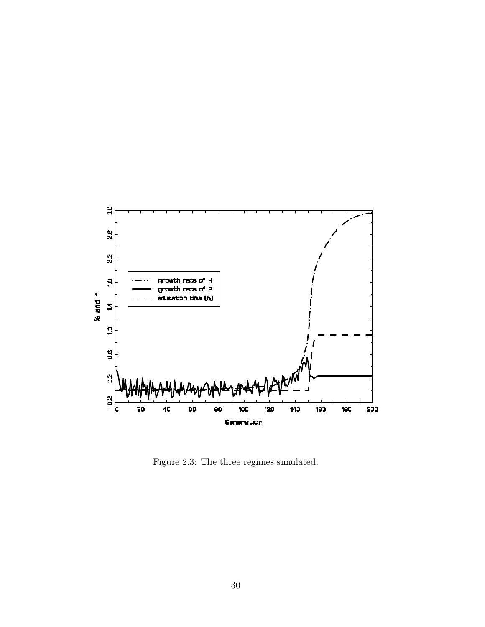

Figure 2.3: The three regimes simulated.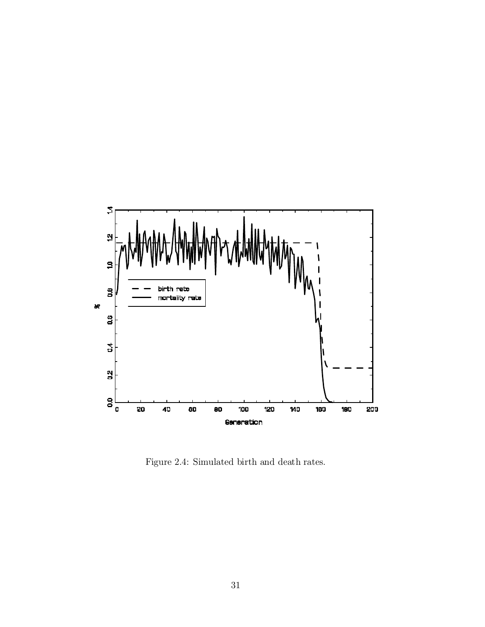

Figure 2.4: Simulated birth and death rates.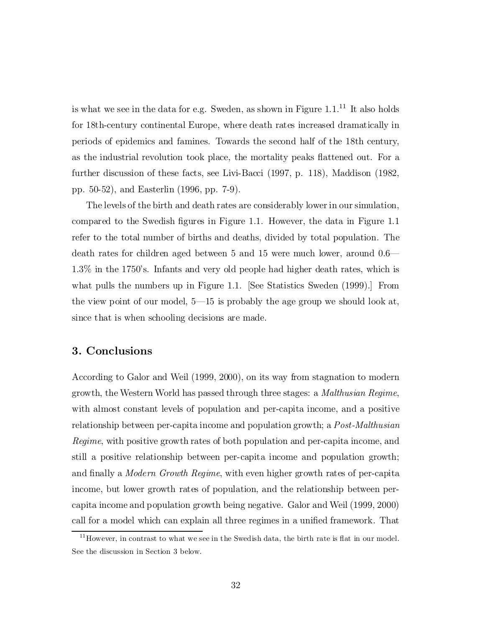is what we see in the data for e.g. Sweden, as shown in Figure  $1.1^{11}$  It also holds for 18th-century continental Europe, where death rates increased dramatically in periods of epidemics and famines. Towards the second half of the 18th century, as the industrial revolution took place, the mortality peaks flattened out. For a further discussion of these facts, see Livi-Bacci (1997, p. 118), Maddison (1982, pp. 50-52), and Easterlin (1996, pp. 7-9).

The levels of the birth and death rates are considerably lowerin oursimulation, compared to the Swedish figures in Figure 1.1. However, the data in Figure 1.1 refer to the total number of births and deaths, divided by total population. The death rates for children aged between 5 and 15 were much lower, around  $0.6$ — 1:3% in the 1750's. Infants and very old people had higher death rates, which is what pulls the numbers up in Figure 1.1. [See Statistics Sweden (1999).] From the view point of our model,  $5-15$  is probably the age group we should look at, since that is when schooling decisions are made.

# 3. Conclusions

According to Galor and Weil (1999, 2000), on its way from stagnation to modern growth, the Western World has passed through three stages: a Malthusian Regime, with almost constant levels of population and per-capita income, and a positive relationship between per-capita income and population growth; a Post-Malthusian Regime, with positive growth rates of both population and per-capita income, and still a positive relationship between per-capita income and population growth; and finally a *Modern Growth Regime*, with even higher growth rates of per-capita income, but lower growth rates of population, and the relationship between percapita income and population growth being negative. Galor and Weil (1999, 2000) call for a model which can explain all three regimes in a unified framework. That

 $11$ However, in contrast to what we see in the Swedish data, the birth rate is flat in our model. See the discussion in Section 3 below.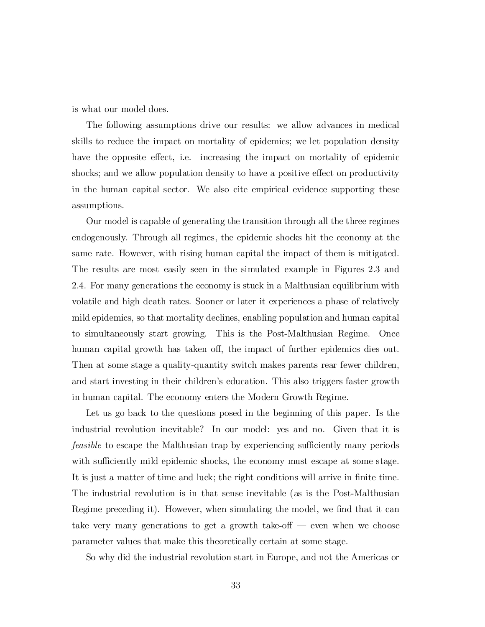is what our model does.

The following assumptions drive our results: we allow advances in medical skills to reduce the impact on mortality of epidemics; we let population density have the opposite effect, i.e. increasing the impact on mortality of epidemic shocks; and we allow population density to have a positive effect on productivity in the human capital sector. We also cite empirical evidence supporting these assumptions.

Our model is capable of generating the transition through all the three regimes endogenously. Through all regimes, the epidemic shocks hit the economy at the same rate. However, with rising human capital the impact of them is mitigated. The results are most easily seen in the simulated example in Figures 2.3 and 2.4. For many generations the economy is stuck in a Malthusian equilibrium with volatile and high death rates. Sooner or later it experiences a phase of relatively mild epidemics, so that mortality declines, enabling population and human capital to simultaneously start growing. This is the Post-Malthusian Regime. Once human capital growth has taken off, the impact of further epidemics dies out. Then at some stage a quality-quantity switch makes parents rear fewer children, and start investing in their children's education. This also triggers faster growth in human capital. The economy enters the Modern Growth Regime.

Let us go back to the questions posed in the beginning of this paper. Is the industrial revolution inevitable? In our model: yes and no. Given that it is *feasible* to escape the Malthusian trap by experiencing sufficiently many periods with sufficiently mild epidemic shocks, the economy must escape at some stage. It is just a matter of time and luck; the right conditions will arrive in finite time. The industrial revolution is in that sense inevitable (as is the Post-Malthusian Regime preceding it). However, when simulating the model, we find that it can take very many generations to get a growth take-off  $-$  even when we choose parameter values that make this theoretically certain at some stage.

So why did the industrial revolution start in Europe, and not the Americas or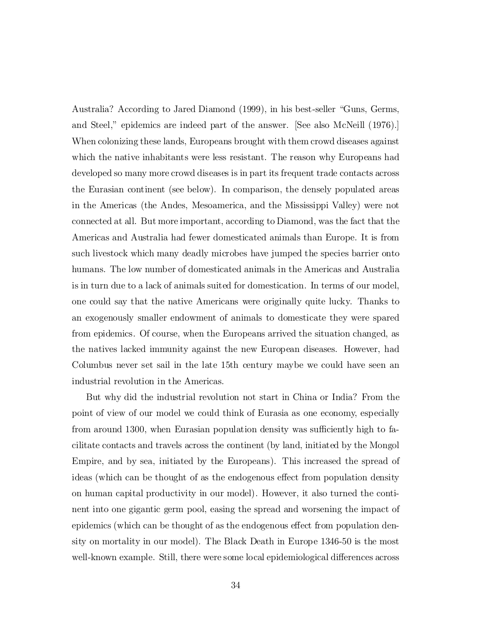Australia? According to Jared Diamond (1999), in his best-seller "Guns, Germs, and Steel," epidemics are indeed part of the answer. [See also McNeill (1976).] When colonizing these lands, Europeans brought with them crowd diseases against which the native inhabitants were less resistant. The reason why Europeans had developed so many more crowd diseases is in part its frequent trade contacts across the Eurasian continent (see below). In comparison, the densely populated areas in the Americas (the Andes, Mesoamerica, and the Mississippi Valley) were not connected at all. But more important, according to Diamond, was the fact that the Americas and Australia had fewer domesticated animals than Europe. It is from such livestock which many deadly microbes have jumped the species barrier onto humans. The low number of domesticated animals in the Americas and Australia is in turn due to a lack of animals suited for domestication. In terms of our model, one could say that the native Americans were originally quite lucky. Thanks to an exogenously smaller endowment of animals to domesticate they were spared from epidemics. Of course, when the Europeans arrived the situation changed, as the natives lacked immunity against the new European diseases. However, had Columbus never set sail in the late 15th century maybe we could have seen an industrial revolution in the Americas.

But why did the industrial revolution not start in China or India? From the point of view of our model we could think of Eurasia as one economy, especially from around 1300, when Eurasian population density was sufficiently high to facilitate contacts and travels across the continent (by land, initiated by the Mongol Empire, and by sea, initiated by the Europeans). This increased the spread of ideas (which can be thought of as the endogenous effect from population density on human capital productivity in our model). However, it also turned the continent into one gigantic germ pool, easing the spread and worsening the impact of epidemics (which can be thought of as the endogenous effect from population density on mortality in our model). The Black Death in Europe 1346-50 is the most well-known example. Still, there were some local epidemiological differences across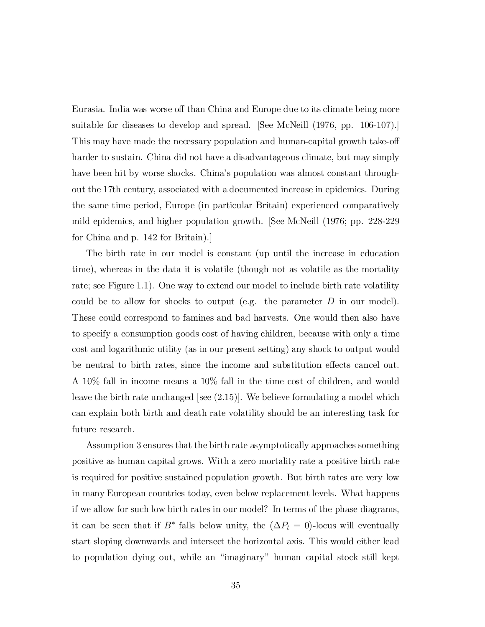Eurasia. India was worse off than China and Europe due to its climate being more suitable for diseases to develop and spread. [See McNeill (1976, pp. 106-107).] This may have made the necessary population and human-capital growth take-off harder to sustain. China did not have a disadvantageous climate, but may simply have been hit by worse shocks. China's population was almost constant throughout the 17th century, associated with a documented increase in epidemics. During the same time period, Europe (in particular Britain) experienced comparatively mild epidemics, and higher population growth. [See McNeill (1976; pp. 228-229 for China and p. 142 for Britain).]

The birth rate in our model is constant (up until the increase in education time), whereas in the data it is volatile (though not as volatile as the mortality rate; see Figure 1.1). One way to extend our model to include birth rate volatility could be to allow for shocks to output (e.g. the parameter  $D$  in our model). These could correspond to famines and bad harvests. One would then also have to specify a consumption goods cost of having children, because with only a time cost and logarithmic utility (as in our present setting) any shock to output would be neutral to birth rates, since the income and substitution effects cancel out. A 10% fall in income means a 10% fall in the time cost of children, and would leave the birth rate unchanged [see (2.15)]. We believe formulating a model which can explain both birth and death rate volatility should be an interesting task for future research.

Assumption 3 ensures that the birth rate asymptotically approaches something positive as human capital grows. With a zero mortality rate a positive birth rate is required for positive sustained population growth. But birth rates are very low in many European countries today, even below replacement levels. What happens if we allow for such low birth rates in our model? In terms of the phase diagrams, it can be seen that if  $B^*$  falls below unity, the  $(\Delta P_t = 0)$ -locus will eventually start sloping downwards and intersect the horizontal axis. This would either lead to population dying out, while an \imaginary" human capital stock still kept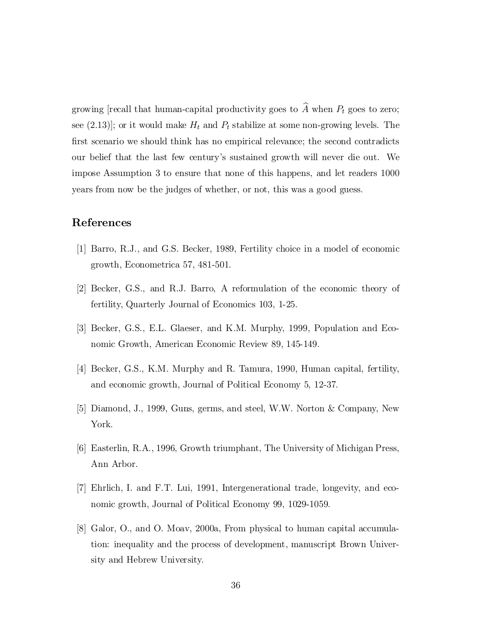growing [recall that human-capital productivity goes to  $\widehat{A}$  when  $P_t$  goes to zero; see (2.13)]; or it would make  $H_t$  and  $P_t$  stabilize at some non-growing levels. The first scenario we should think has no empirical relevance; the second contradicts our belief that the last few century's sustained growth will never die out. We impose Assumption 3 to ensure that none of this happens, and let readers 1000 years from now be the judges of whether, or not, this was a good guess.

# References

- [1] Barro, R.J., and G.S. Becker, 1989, Fertility choice in a model of economic growth, Econometrica 57, 481-501.
- [2] Becker, G.S., and R.J. Barro, A reformulation of the economic theory of fertility, Quarterly Journal of Economics 103, 1-25.
- [3] Becker, G.S., E.L. Glaeser, and K.M. Murphy, 1999, Population and Economic Growth, American Economic Review 89, 145-149.
- [4] Becker, G.S., K.M. Murphy and R. Tamura, 1990, Human capital, fertility, and economic growth, Journal of Political Economy 5, 12-37.
- [5] Diamond, J., 1999, Guns, germs, and steel, W.W. Norton & Company, New York.
- [6] Easterlin, R.A., 1996, Growth triumphant, The University of Michigan Press, Ann Arbor.
- [7] Ehrlich, I. and F.T. Lui, 1991, Intergenerational trade, longevity, and economic growth, Journal of Political Economy 99, 1029-1059.
- [8] Galor, O., and O. Moav, 2000a, From physical to human capital accumulation: inequality and the process of development, manuscript Brown University and Hebrew University.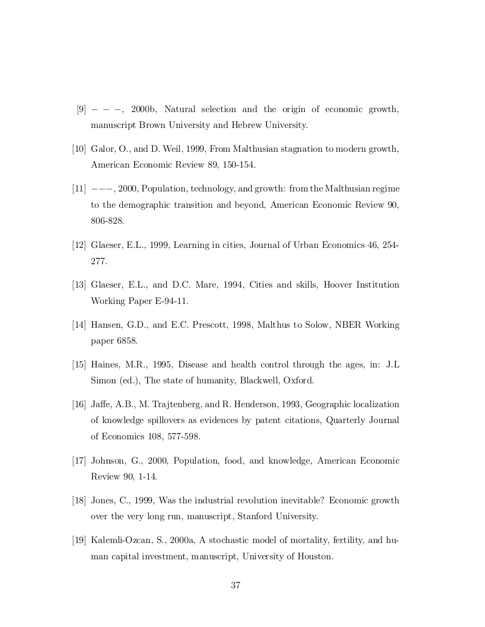- $[9]$  – –, 2000b, Natural selection and the origin of economic growth, manuscript Brown University and Hebrew University.
- [10] Galor, O., and D. Weil, 1999, From Malthusian stagnation to modern growth, American Economic Review 89, 150-154.
- $[11] \ \mathrm{---}$ , 2000, Population, technology, and growth: from the Malthusian regime to the demographic transition and beyond, American Economic Review 90, 806-828.
- [12] Glaeser, E.L., 1999, Learning in cities, Journal of Urban Economics 46, 254- 277.
- [13] Glaeser, E.L., and D.C. Mare, 1994, Cities and skills, Hoover Institution Working Paper E-94-11.
- [14] Hansen, G.D., and E.C. Prescott, 1998, Malthus to Solow, NBER Working paper 6858.
- [15] Haines, M.R., 1995, Disease and health control through the ages, in: J.L Simon (ed.), The state of humanity, Blackwell, Oxford.
- [16] Jaffe, A.B., M. Trajtenberg, and R. Henderson, 1993, Geographic localization of knowledge spillovers as evidences by patent citations, Quarterly Journal of Economics 108, 577-598.
- [17] Johnson, G., 2000, Population, food, and knowledge, American Economic Review 90, 1-14.
- [18] Jones, C., 1999, Was the industrial revolution inevitable? Economic growth over the very long run, manuscript, Stanford University.
- [19] Kalemli-Ozcan, S., 2000a, A stochastic model of mortality, fertility, and human capital investment, manuscript, University of Houston.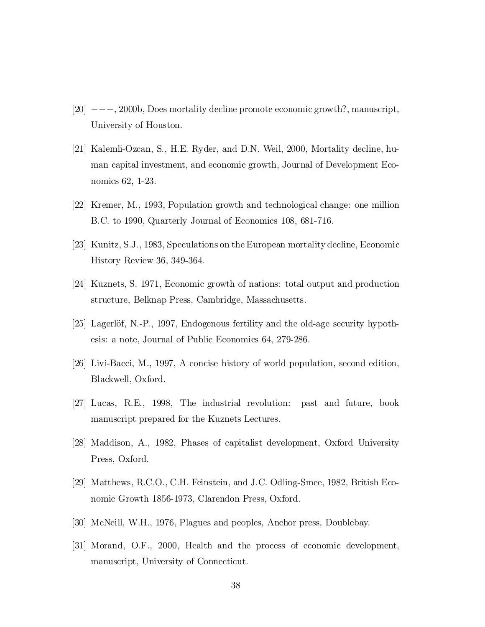- $[20] \,---$ , 2000b, Does mortality decline promote economic growth?, manuscript, University of Houston.
- [21] Kalemli-Ozcan, S., H.E. Ryder, and D.N. Weil, 2000, Mortality decline, human capital investment, and economic growth, Journal of Development Economics 62, 1-23.
- [22] Kremer, M., 1993, Population growth and technological change: one million B.C. to 1990, Quarterly Journal of Economics 108, 681-716.
- [23] Kunitz, S.J., 1983, Speculations on the European mortality decline, Economic History Review 36, 349-364.
- [24] Kuznets, S. 1971, Economic growth of nations: total output and production structure, Belknap Press, Cambridge, Massachusetts.
- $[25]$  Lagerlöf, N.-P., 1997, Endogenous fertility and the old-age security hypothesis: a note, Journal of Public Economics 64, 279-286.
- [26] Livi-Bacci, M., 1997, A concise history of world population, second edition, Blackwell, Oxford.
- [27] Lucas, R.E., 1998, The industrial revolution: past and future, book manuscript prepared for the Kuznets Lectures.
- [28] Maddison, A., 1982, Phases of capitalist development, Oxford University Press, Oxford.
- [29] Matthews, R.C.O., C.H. Feinstein, and J.C. Odling-Smee, 1982, British Economic Growth 1856-1973, Clarendon Press, Oxford.
- [30] McNeill, W.H., 1976, Plagues and peoples, Anchor press, Doublebay.
- [31] Morand, O.F., 2000, Health and the process of economic development, manuscript, University of Connecticut.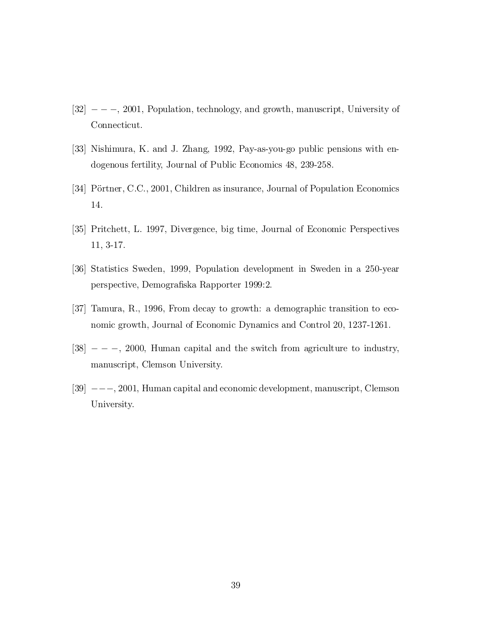- $[32]$   $-$ , 2001, Population, technology, and growth, manuscript, University of Connecticut.
- [33] Nishimura, K. and J. Zhang, 1992, Pay-as-you-go public pensions with endogenous fertility, Journal of Public Economics 48, 239-258.
- [34] Pörtner, C.C., 2001, Children as insurance, Journal of Population Economics 14.
- [35] Pritchett, L. 1997, Divergence, big time, Journal of Economic Perspectives 11, 3-17.
- [36] Statistics Sweden, 1999, Population development in Sweden in a 250-year perspective, Demografiska Rapporter 1999:2.
- [37] Tamura, R., 1996, From decay to growth: a demographic transition to economic growth, Journal of Economic Dynamics and Control 20, 1237-1261.
- $[38]$   $-$ , 2000, Human capital and the switch from agriculture to industry, manuscript, Clemson University.
- $[39] \;---, 2001$ , Human capital and economic development, manuscript, Clemson University.